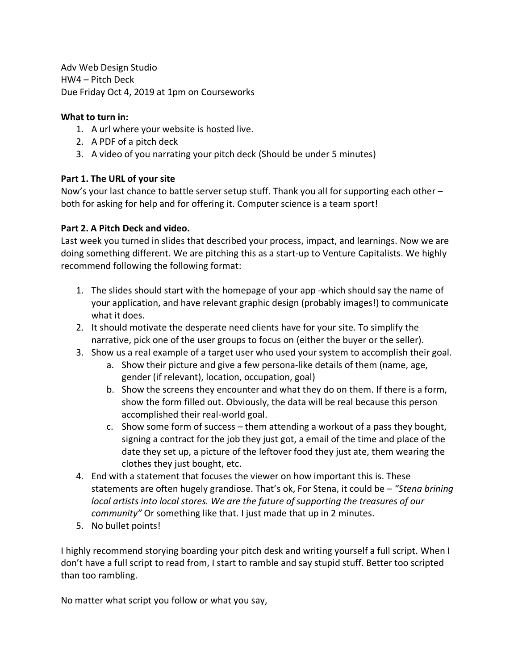Adv Web Design Studio HW4 – Pitch Deck Due Friday Oct 4, 2019 at 1pm on Courseworks

## **What to turn in:**

- 1. A url where your website is hosted live.
- 2. A PDF of a pitch deck
- 3. A video of you narrating your pitch deck (Should be under 5 minutes)

## **Part 1. The URL of your site**

Now's your last chance to battle server setup stuff. Thank you all for supporting each other – both for asking for help and for offering it. Computer science is a team sport!

## **Part 2. A Pitch Deck and video.**

Last week you turned in slides that described your process, impact, and learnings. Now we are doing something different. We are pitching this as a start-up to Venture Capitalists. We highly recommend following the following format:

- 1. The slides should start with the homepage of your app -which should say the name of your application, and have relevant graphic design (probably images!) to communicate what it does.
- 2. It should motivate the desperate need clients have for your site. To simplify the narrative, pick one of the user groups to focus on (either the buyer or the seller).
- 3. Show us a real example of a target user who used your system to accomplish their goal.
	- a. Show their picture and give a few persona-like details of them (name, age, gender (if relevant), location, occupation, goal)
	- b. Show the screens they encounter and what they do on them. If there is a form, show the form filled out. Obviously, the data will be real because this person accomplished their real-world goal.
	- c. Show some form of success them attending a workout of a pass they bought, signing a contract for the job they just got, a email of the time and place of the date they set up, a picture of the leftover food they just ate, them wearing the clothes they just bought, etc.
- 4. End with a statement that focuses the viewer on how important this is. These statements are often hugely grandiose. That's ok, For Stena, it could be – *"Stena brining local artists into local stores. We are the future of supporting the treasures of our community"* Or something like that. I just made that up in 2 minutes.
- 5. No bullet points!

I highly recommend storying boarding your pitch desk and writing yourself a full script. When I don't have a full script to read from, I start to ramble and say stupid stuff. Better too scripted than too rambling.

No matter what script you follow or what you say,